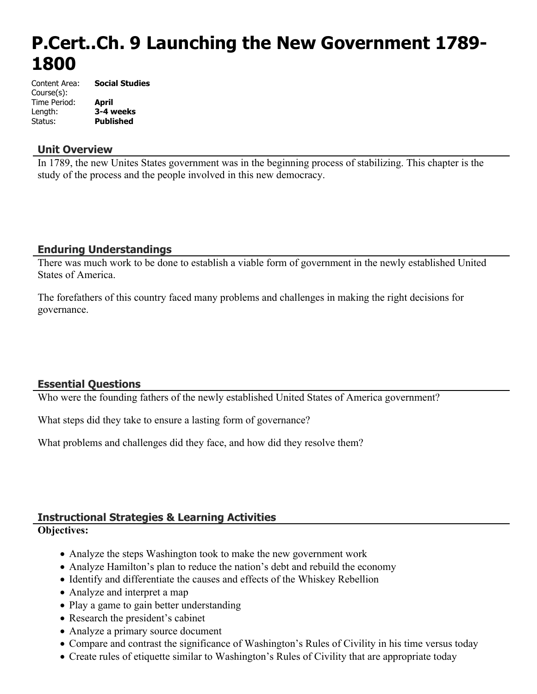# **P.Cert..Ch. 9 Launching the New Government 1789- 1800**

| Content Area: | <b>Social Studies</b> |
|---------------|-----------------------|
| Course(s):    |                       |
| Time Period:  | April                 |
| Length:       | 3-4 weeks             |
| Status:       | <b>Published</b>      |

#### **Unit Overview**

In 1789, the new Unites States government was in the beginning process of stabilizing. This chapter is the study of the process and the people involved in this new democracy.

# **Enduring Understandings**

There was much work to be done to establish a viable form of government in the newly established United States of America.

The forefathers of this country faced many problems and challenges in making the right decisions for governance.

# **Essential Questions**

Who were the founding fathers of the newly established United States of America government?

What steps did they take to ensure a lasting form of governance?

What problems and challenges did they face, and how did they resolve them?

# **Instructional Strategies & Learning Activities**

#### **Objectives:**

- Analyze the steps Washington took to make the new government work
- Analyze Hamilton's plan to reduce the nation's debt and rebuild the economy
- Identify and differentiate the causes and effects of the Whiskey Rebellion
- Analyze and interpret a map
- Play a game to gain better understanding
- Research the president's cabinet
- Analyze a primary source document
- Compare and contrast the significance of Washington's Rules of Civility in his time versus today
- Create rules of etiquette similar to Washington's Rules of Civility that are appropriate today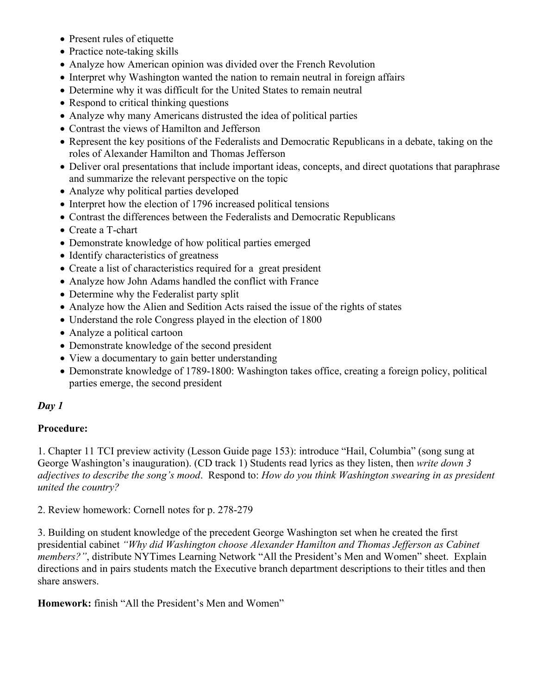- Present rules of etiquette
- Practice note-taking skills
- Analyze how American opinion was divided over the French Revolution
- Interpret why Washington wanted the nation to remain neutral in foreign affairs
- Determine why it was difficult for the United States to remain neutral
- Respond to critical thinking questions
- Analyze why many Americans distrusted the idea of political parties
- Contrast the views of Hamilton and Jefferson
- Represent the key positions of the Federalists and Democratic Republicans in a debate, taking on the roles of Alexander Hamilton and Thomas Jefferson
- Deliver oral presentations that include important ideas, concepts, and direct quotations that paraphrase and summarize the relevant perspective on the topic
- Analyze why political parties developed
- Interpret how the election of 1796 increased political tensions
- Contrast the differences between the Federalists and Democratic Republicans
- Create a T-chart
- Demonstrate knowledge of how political parties emerged
- Identify characteristics of greatness
- Create a list of characteristics required for a great president
- Analyze how John Adams handled the conflict with France
- Determine why the Federalist party split
- Analyze how the Alien and Sedition Acts raised the issue of the rights of states
- Understand the role Congress played in the election of 1800
- Analyze a political cartoon
- Demonstrate knowledge of the second president
- View a documentary to gain better understanding
- Demonstrate knowledge of 1789-1800: Washington takes office, creating a foreign policy, political parties emerge, the second president

#### **Procedure:**

1. Chapter 11 TCI preview activity (Lesson Guide page 153): introduce "Hail, Columbia" (song sung at George Washington's inauguration). (CD track 1) Students read lyrics as they listen, then *write down 3 adjectives to describe the song's mood*. Respond to: *How do you think Washington swearing in as president united the country?*

2. Review homework: Cornell notes for p. 278-279

3. Building on student knowledge of the precedent George Washington set when he created the first presidential cabinet *"Why did Washington choose Alexander Hamilton and Thomas Jefferson as Cabinet members?"*, distribute NYTimes Learning Network "All the President's Men and Women" sheet. Explain directions and in pairs students match the Executive branch department descriptions to their titles and then share answers.

**Homework:** finish "All the President's Men and Women"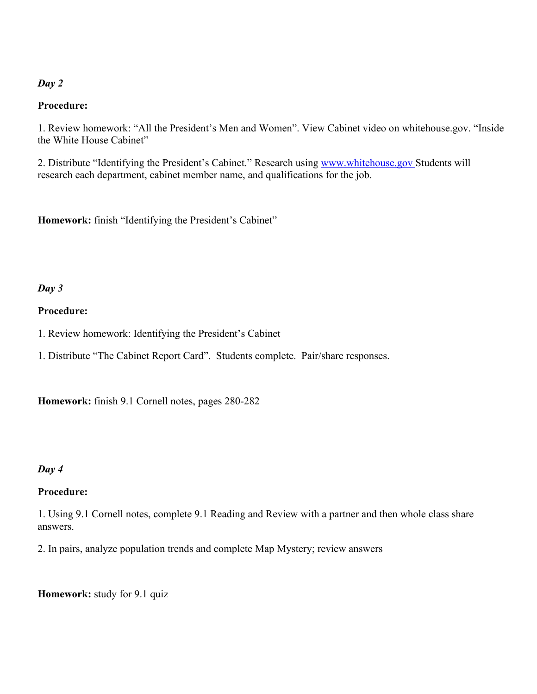#### **Procedure:**

1. Review homework: "All the President's Men and Women". View Cabinet video on whitehouse.gov. "Inside the White House Cabinet"

2. Distribute "Identifying the President's Cabinet." Research using [www.whitehouse.gov S](http://www.whitehouse.gov%20/)tudents will research each department, cabinet member name, and qualifications for the job.

**Homework:** finish "Identifying the President's Cabinet"

#### *Day 3*

#### **Procedure:**

1. Review homework: Identifying the President's Cabinet

1. Distribute "The Cabinet Report Card". Students complete. Pair/share responses.

**Homework:** finish 9.1 Cornell notes, pages 280-282

#### *Day 4*

#### **Procedure:**

1. Using 9.1 Cornell notes, complete 9.1 Reading and Review with a partner and then whole class share answers.

2. In pairs, analyze population trends and complete Map Mystery; review answers

**Homework:** study for 9.1 quiz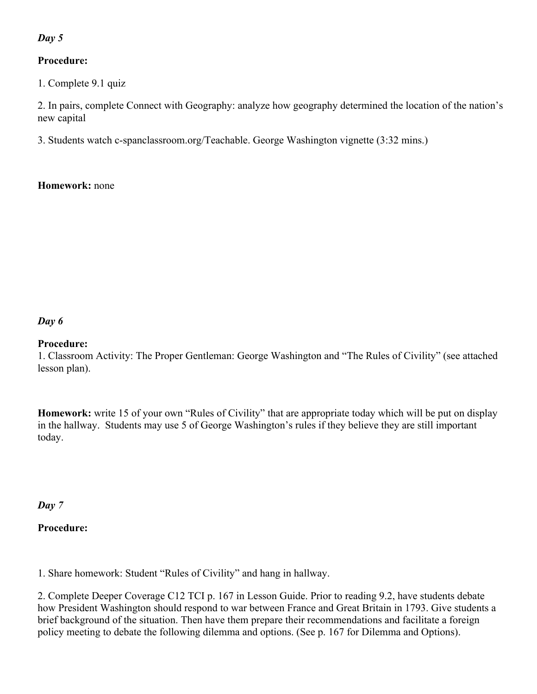#### **Procedure:**

1. Complete 9.1 quiz

2. In pairs, complete Connect with Geography: analyze how geography determined the location of the nation's new capital

3. Students watch c-spanclassroom.org/Teachable. George Washington vignette (3:32 mins.)

#### **Homework:** none

#### *Day 6*

#### **Procedure:**

1. Classroom Activity: The Proper Gentleman: George Washington and "The Rules of Civility" (see attached lesson plan).

**Homework:** write 15 of your own "Rules of Civility" that are appropriate today which will be put on display in the hallway. Students may use 5 of George Washington's rules if they believe they are still important today.

*Day 7*

# **Procedure:**

1. Share homework: Student "Rules of Civility" and hang in hallway.

2. Complete Deeper Coverage C12 TCI p. 167 in Lesson Guide. Prior to reading 9.2, have students debate how President Washington should respond to war between France and Great Britain in 1793. Give students a brief background of the situation. Then have them prepare their recommendations and facilitate a foreign policy meeting to debate the following dilemma and options. (See p. 167 for Dilemma and Options).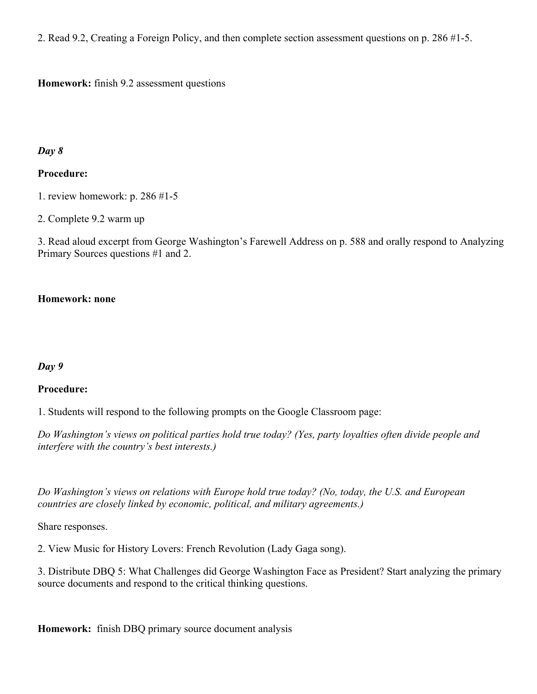2. Read 9.2, Creating a Foreign Policy, and then complete section assessment questions on p. 286 #1-5.

**Homework:** finish 9.2 assessment questions

#### *Day 8*

#### **Procedure:**

1. review homework: p. 286 #1-5

2. Complete 9.2 warm up

3. Read aloud excerpt from George Washington's Farewell Address on p. 588 and orally respond to Analyzing Primary Sources questions #1 and 2.

#### **Homework: none**

#### *Day 9*

#### **Procedure:**

1. Students will respond to the following prompts on the Google Classroom page:

*Do Washington's views on political parties hold true today? (Yes, party loyalties often divide people and interfere with the country's best interests.)*

*Do Washington's views on relations with Europe hold true today? (No, today, the U.S. and European countries are closely linked by economic, political, and military agreements.)*

Share responses.

2. View Music for History Lovers: French Revolution (Lady Gaga song).

3. Distribute DBQ 5: What Challenges did George Washington Face as President? Start analyzing the primary source documents and respond to the critical thinking questions.

**Homework:** finish DBQ primary source document analysis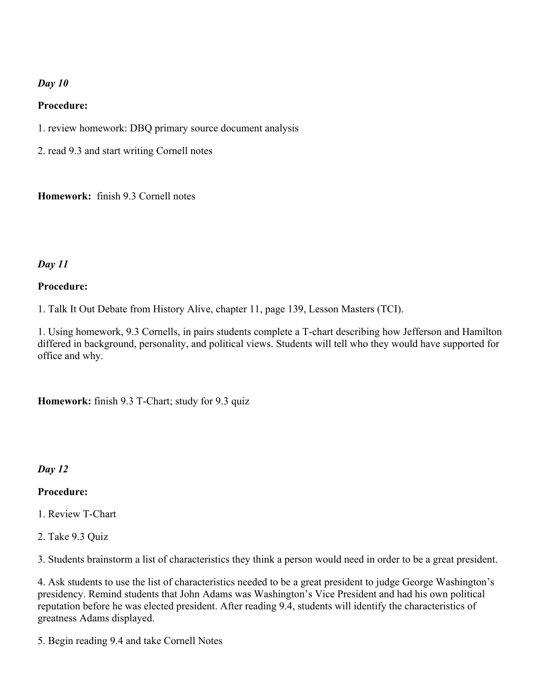#### **Procedure:**

- 1. review homework: DBQ primary source document analysis
- 2. read 9.3 and start writing Cornell notes

**Homework:** finish 9.3 Cornell notes

# *Day 11*

#### **Procedure:**

1. Talk It Out Debate from History Alive, chapter 11, page 139, Lesson Masters (TCI).

1. Using homework, 9.3 Cornells, in pairs students complete a T-chart describing how Jefferson and Hamilton differed in background, personality, and political views. Students will tell who they would have supported for office and why.

**Homework:** finish 9.3 T-Chart; study for 9.3 quiz

#### *Day 12*

#### **Procedure:**

1. Review T-Chart

2. Take 9.3 Quiz

3. Students brainstorm a list of characteristics they think a person would need in order to be a great president.

4. Ask students to use the list of characteristics needed to be a great president to judge George Washington's presidency. Remind students that John Adams was Washington's Vice President and had his own political reputation before he was elected president. After reading 9.4, students will identify the characteristics of greatness Adams displayed.

5. Begin reading 9.4 and take Cornell Notes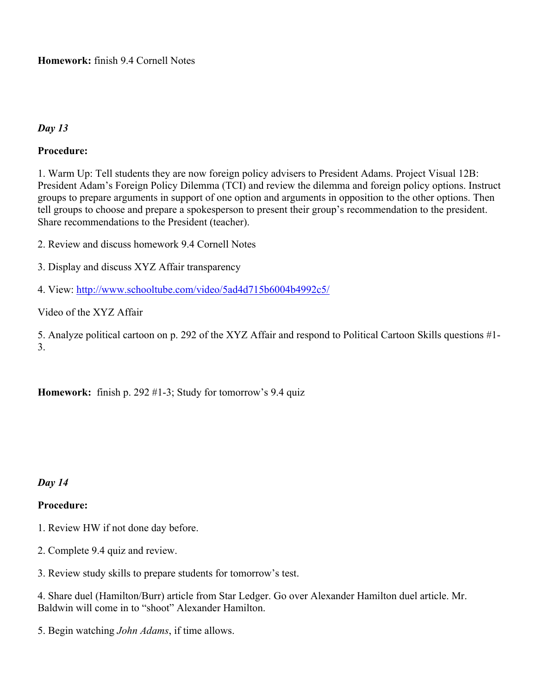**Homework:** finish 9.4 Cornell Notes

# *Day 13*

# **Procedure:**

1. Warm Up: Tell students they are now foreign policy advisers to President Adams. Project Visual 12B: President Adam's Foreign Policy Dilemma (TCI) and review the dilemma and foreign policy options. Instruct groups to prepare arguments in support of one option and arguments in opposition to the other options. Then tell groups to choose and prepare a spokesperson to present their group's recommendation to the president. Share recommendations to the President (teacher).

2. Review and discuss homework 9.4 Cornell Notes

3. Display and discuss XYZ Affair transparency

4. View:<http://www.schooltube.com/video/5ad4d715b6004b4992c5/>

Video of the XYZ Affair

5. Analyze political cartoon on p. 292 of the XYZ Affair and respond to Political Cartoon Skills questions #1- 3.

**Homework:** finish p. 292 #1-3; Study for tomorrow's 9.4 quiz

*Day 14*

#### **Procedure:**

1. Review HW if not done day before.

- 2. Complete 9.4 quiz and review.
- 3. Review study skills to prepare students for tomorrow's test.

4. Share duel (Hamilton/Burr) article from Star Ledger. Go over Alexander Hamilton duel article. Mr. Baldwin will come in to "shoot" Alexander Hamilton.

5. Begin watching *John Adams*, if time allows.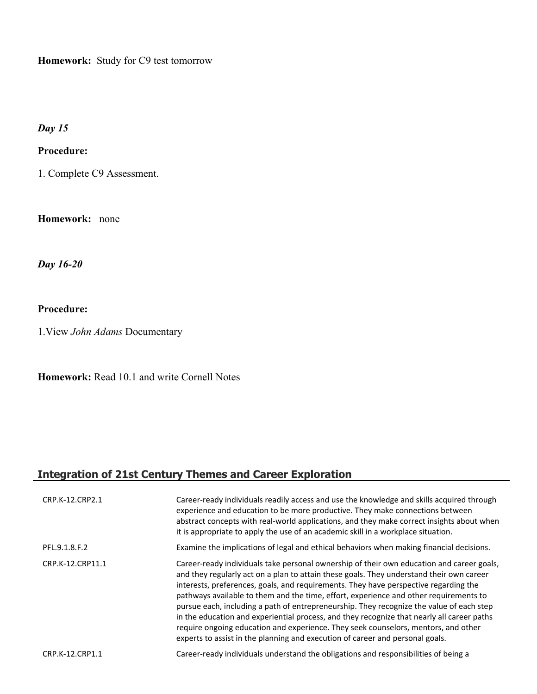**Homework:** Study for C9 test tomorrow

*Day 15*

#### **Procedure:**

1. Complete C9 Assessment.

**Homework:** none

*Day 16-20*

#### **Procedure:**

1.View *John Adams* Documentary

**Homework:** Read 10.1 and write Cornell Notes

# **Integration of 21st Century Themes and Career Exploration**

| CRP.K-12.CRP2.1  | Career-ready individuals readily access and use the knowledge and skills acquired through<br>experience and education to be more productive. They make connections between<br>abstract concepts with real-world applications, and they make correct insights about when<br>it is appropriate to apply the use of an academic skill in a workplace situation.                                                                                                                                                                                                                                                                                                                                                                            |
|------------------|-----------------------------------------------------------------------------------------------------------------------------------------------------------------------------------------------------------------------------------------------------------------------------------------------------------------------------------------------------------------------------------------------------------------------------------------------------------------------------------------------------------------------------------------------------------------------------------------------------------------------------------------------------------------------------------------------------------------------------------------|
| PFL.9.1.8.F.2    | Examine the implications of legal and ethical behaviors when making financial decisions.                                                                                                                                                                                                                                                                                                                                                                                                                                                                                                                                                                                                                                                |
| CRP.K-12.CRP11.1 | Career-ready individuals take personal ownership of their own education and career goals,<br>and they regularly act on a plan to attain these goals. They understand their own career<br>interests, preferences, goals, and requirements. They have perspective regarding the<br>pathways available to them and the time, effort, experience and other requirements to<br>pursue each, including a path of entrepreneurship. They recognize the value of each step<br>in the education and experiential process, and they recognize that nearly all career paths<br>require ongoing education and experience. They seek counselors, mentors, and other<br>experts to assist in the planning and execution of career and personal goals. |
| CRP.K-12.CRP1.1  | Career-ready individuals understand the obligations and responsibilities of being a                                                                                                                                                                                                                                                                                                                                                                                                                                                                                                                                                                                                                                                     |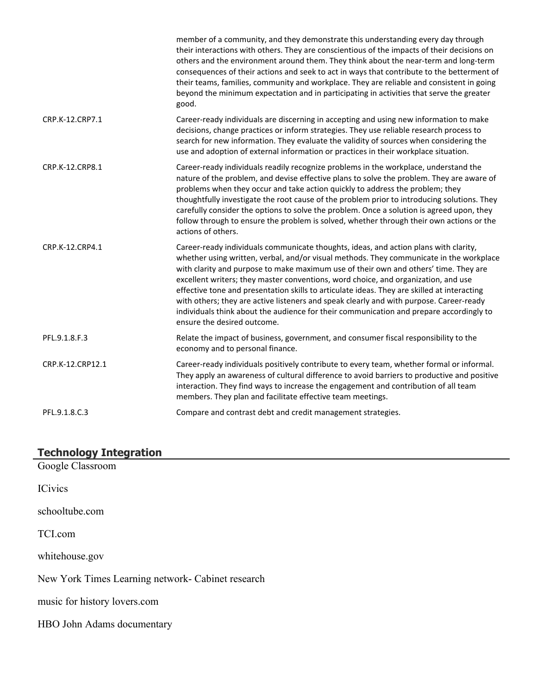|                  | member of a community, and they demonstrate this understanding every day through<br>their interactions with others. They are conscientious of the impacts of their decisions on<br>others and the environment around them. They think about the near-term and long-term<br>consequences of their actions and seek to act in ways that contribute to the betterment of<br>their teams, families, community and workplace. They are reliable and consistent in going<br>beyond the minimum expectation and in participating in activities that serve the greater<br>good.                                                                                                           |
|------------------|-----------------------------------------------------------------------------------------------------------------------------------------------------------------------------------------------------------------------------------------------------------------------------------------------------------------------------------------------------------------------------------------------------------------------------------------------------------------------------------------------------------------------------------------------------------------------------------------------------------------------------------------------------------------------------------|
| CRP.K-12.CRP7.1  | Career-ready individuals are discerning in accepting and using new information to make<br>decisions, change practices or inform strategies. They use reliable research process to<br>search for new information. They evaluate the validity of sources when considering the<br>use and adoption of external information or practices in their workplace situation.                                                                                                                                                                                                                                                                                                                |
| CRP.K-12.CRP8.1  | Career-ready individuals readily recognize problems in the workplace, understand the<br>nature of the problem, and devise effective plans to solve the problem. They are aware of<br>problems when they occur and take action quickly to address the problem; they<br>thoughtfully investigate the root cause of the problem prior to introducing solutions. They<br>carefully consider the options to solve the problem. Once a solution is agreed upon, they<br>follow through to ensure the problem is solved, whether through their own actions or the<br>actions of others.                                                                                                  |
| CRP.K-12.CRP4.1  | Career-ready individuals communicate thoughts, ideas, and action plans with clarity,<br>whether using written, verbal, and/or visual methods. They communicate in the workplace<br>with clarity and purpose to make maximum use of their own and others' time. They are<br>excellent writers; they master conventions, word choice, and organization, and use<br>effective tone and presentation skills to articulate ideas. They are skilled at interacting<br>with others; they are active listeners and speak clearly and with purpose. Career-ready<br>individuals think about the audience for their communication and prepare accordingly to<br>ensure the desired outcome. |
| PFL.9.1.8.F.3    | Relate the impact of business, government, and consumer fiscal responsibility to the<br>economy and to personal finance.                                                                                                                                                                                                                                                                                                                                                                                                                                                                                                                                                          |
| CRP.K-12.CRP12.1 | Career-ready individuals positively contribute to every team, whether formal or informal.<br>They apply an awareness of cultural difference to avoid barriers to productive and positive<br>interaction. They find ways to increase the engagement and contribution of all team<br>members. They plan and facilitate effective team meetings.                                                                                                                                                                                                                                                                                                                                     |
| PFL.9.1.8.C.3    | Compare and contrast debt and credit management strategies.                                                                                                                                                                                                                                                                                                                                                                                                                                                                                                                                                                                                                       |

#### **Technology Integration**

Google Classroom

ICivics

schooltube.com

TCI.com

whitehouse.gov

New York Times Learning network- Cabinet research

music for history lovers.com

HBO John Adams documentary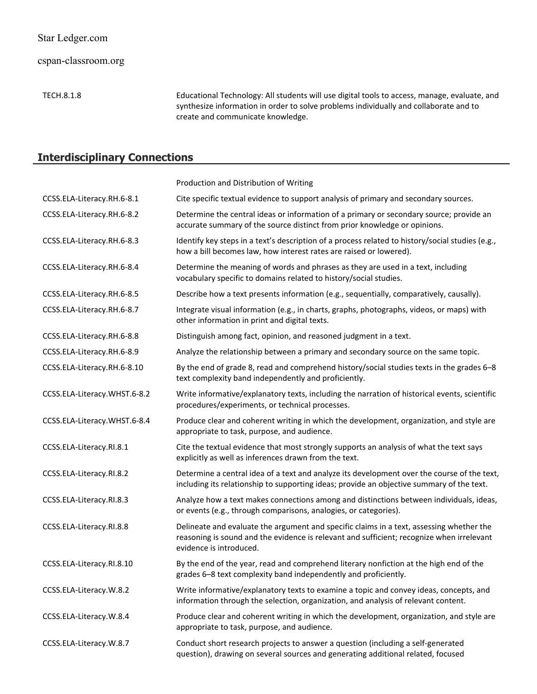cspan-classroom.org

TECH.8.1.8 Educational Technology: All students will use digital tools to access, manage, evaluate, and synthesize information in order to solve problems individually and collaborate and to create and communicate knowledge.

# **Interdisciplinary Connections**

|                              | Production and Distribution of Writing                                                                                                                                                                           |
|------------------------------|------------------------------------------------------------------------------------------------------------------------------------------------------------------------------------------------------------------|
| CCSS.ELA-Literacy.RH.6-8.1   | Cite specific textual evidence to support analysis of primary and secondary sources.                                                                                                                             |
| CCSS.ELA-Literacy.RH.6-8.2   | Determine the central ideas or information of a primary or secondary source; provide an<br>accurate summary of the source distinct from prior knowledge or opinions.                                             |
| CCSS.ELA-Literacy.RH.6-8.3   | Identify key steps in a text's description of a process related to history/social studies (e.g.,<br>how a bill becomes law, how interest rates are raised or lowered).                                           |
| CCSS.ELA-Literacy.RH.6-8.4   | Determine the meaning of words and phrases as they are used in a text, including<br>vocabulary specific to domains related to history/social studies.                                                            |
| CCSS.ELA-Literacy.RH.6-8.5   | Describe how a text presents information (e.g., sequentially, comparatively, causally).                                                                                                                          |
| CCSS.ELA-Literacy.RH.6-8.7   | Integrate visual information (e.g., in charts, graphs, photographs, videos, or maps) with<br>other information in print and digital texts.                                                                       |
| CCSS.ELA-Literacy.RH.6-8.8   | Distinguish among fact, opinion, and reasoned judgment in a text.                                                                                                                                                |
| CCSS.ELA-Literacy.RH.6-8.9   | Analyze the relationship between a primary and secondary source on the same topic.                                                                                                                               |
| CCSS.ELA-Literacy.RH.6-8.10  | By the end of grade 8, read and comprehend history/social studies texts in the grades 6-8<br>text complexity band independently and proficiently.                                                                |
| CCSS.ELA-Literacy.WHST.6-8.2 | Write informative/explanatory texts, including the narration of historical events, scientific<br>procedures/experiments, or technical processes.                                                                 |
| CCSS.ELA-Literacy.WHST.6-8.4 | Produce clear and coherent writing in which the development, organization, and style are<br>appropriate to task, purpose, and audience.                                                                          |
| CCSS.ELA-Literacy.RI.8.1     | Cite the textual evidence that most strongly supports an analysis of what the text says<br>explicitly as well as inferences drawn from the text.                                                                 |
| CCSS.ELA-Literacy.RI.8.2     | Determine a central idea of a text and analyze its development over the course of the text,<br>including its relationship to supporting ideas; provide an objective summary of the text.                         |
| CCSS.ELA-Literacy.RI.8.3     | Analyze how a text makes connections among and distinctions between individuals, ideas,<br>or events (e.g., through comparisons, analogies, or categories).                                                      |
| CCSS.ELA-Literacy.RI.8.8     | Delineate and evaluate the argument and specific claims in a text, assessing whether the<br>reasoning is sound and the evidence is relevant and sufficient; recognize when irrelevant<br>evidence is introduced. |
| CCSS.ELA-Literacy.RI.8.10    | By the end of the year, read and comprehend literary nonfiction at the high end of the<br>grades 6-8 text complexity band independently and proficiently.                                                        |
| CCSS.ELA-Literacy.W.8.2      | Write informative/explanatory texts to examine a topic and convey ideas, concepts, and<br>information through the selection, organization, and analysis of relevant content.                                     |
| CCSS.ELA-Literacy.W.8.4      | Produce clear and coherent writing in which the development, organization, and style are<br>appropriate to task, purpose, and audience.                                                                          |
| CCSS.ELA-Literacy.W.8.7      | Conduct short research projects to answer a question (including a self-generated<br>question), drawing on several sources and generating additional related, focused                                             |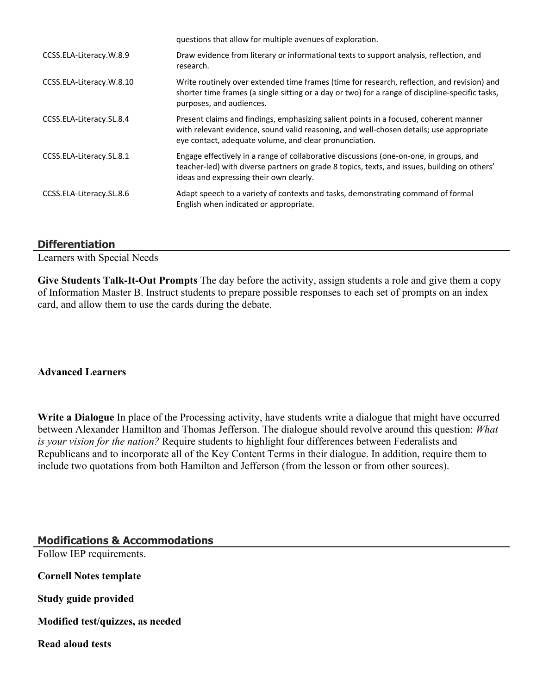|                          | questions that allow for multiple avenues of exploration.                                                                                                                                                                                  |
|--------------------------|--------------------------------------------------------------------------------------------------------------------------------------------------------------------------------------------------------------------------------------------|
| CCSS.ELA-Literacy.W.8.9  | Draw evidence from literary or informational texts to support analysis, reflection, and<br>research.                                                                                                                                       |
| CCSS.ELA-Literacy.W.8.10 | Write routinely over extended time frames (time for research, reflection, and revision) and<br>shorter time frames (a single sitting or a day or two) for a range of discipline-specific tasks,<br>purposes, and audiences.                |
| CCSS.ELA-Literacy.SL.8.4 | Present claims and findings, emphasizing salient points in a focused, coherent manner<br>with relevant evidence, sound valid reasoning, and well-chosen details; use appropriate<br>eye contact, adequate volume, and clear pronunciation. |
| CCSS.ELA-Literacy.SL.8.1 | Engage effectively in a range of collaborative discussions (one-on-one, in groups, and<br>teacher-led) with diverse partners on grade 8 topics, texts, and issues, building on others'<br>ideas and expressing their own clearly.          |
| CCSS.ELA-Literacy.SL.8.6 | Adapt speech to a variety of contexts and tasks, demonstrating command of formal<br>English when indicated or appropriate.                                                                                                                 |

#### **Differentiation**

Learners with Special Needs

**Give Students Talk-It-Out Prompts** The day before the activity, assign students a role and give them a copy of Information Master B. Instruct students to prepare possible responses to each set of prompts on an index card, and allow them to use the cards during the debate.

#### **Advanced Learners**

**Write a Dialogue** In place of the Processing activity, have students write a dialogue that might have occurred between Alexander Hamilton and Thomas Jefferson. The dialogue should revolve around this question: *What is your vision for the nation?* Require students to highlight four differences between Federalists and Republicans and to incorporate all of the Key Content Terms in their dialogue. In addition, require them to include two quotations from both Hamilton and Jefferson (from the lesson or from other sources).

**Modifications & Accommodations** Follow IEP requirements. **Cornell Notes template Study guide provided Modified test/quizzes, as needed Read aloud tests**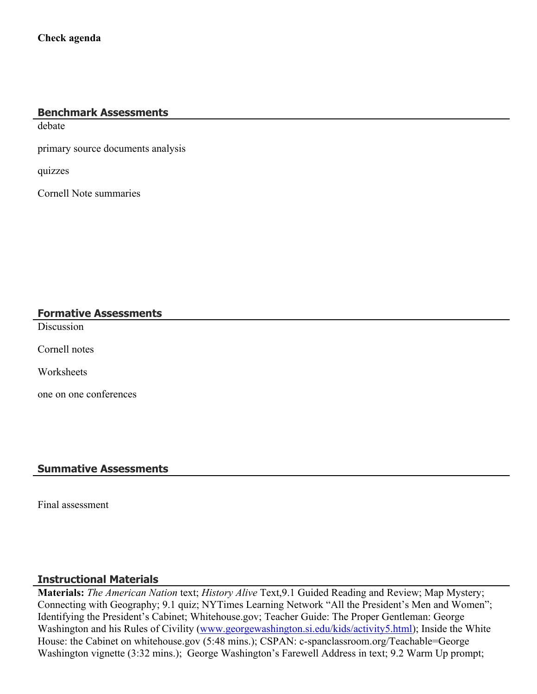# **Benchmark Assessments**

debate

primary source documents analysis

quizzes

Cornell Note summaries

#### **Formative Assessments**

**Discussion** 

Cornell notes

**Worksheets** 

one on one conferences

#### **Summative Assessments**

Final assessment

#### **Instructional Materials**

**Materials:** *The American Nation* text; *History Alive* Text,9.1 Guided Reading and Review; Map Mystery; Connecting with Geography; 9.1 quiz; NYTimes Learning Network "All the President's Men and Women"; Identifying the President's Cabinet; Whitehouse.gov; Teacher Guide: The Proper Gentleman: George Washington and his Rules of Civility [\(www.georgewashington.si.edu/kids/activity5.html](http://www.georgewashington.si.edu/kids/activity5.html)); Inside the White House: the Cabinet on whitehouse.gov (5:48 mins.); CSPAN: c-spanclassroom.org/Teachable=George Washington vignette (3:32 mins.); George Washington's Farewell Address in text; 9.2 Warm Up prompt;